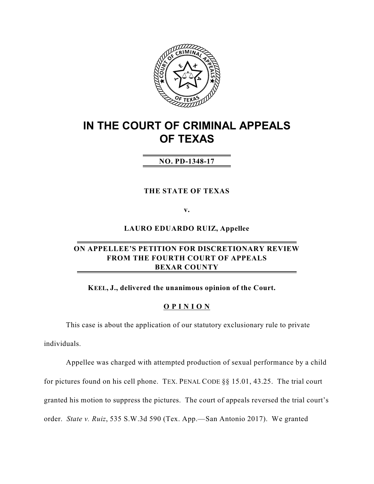

# **IN THE COURT OF CRIMINAL APPEALS OF TEXAS**

# **NO. PD-1348-17**

## **THE STATE OF TEXAS**

**v.**

**LAURO EDUARDO RUIZ, Appellee**

# **ON APPELLEE'S PETITION FOR DISCRETIONARY REVIEW FROM THE FOURTH COURT OF APPEALS BEXAR COUNTY**

**KEEL, J., delivered the unanimous opinion of the Court.**

## **O P I N I O N**

This case is about the application of our statutory exclusionary rule to private individuals.

Appellee was charged with attempted production of sexual performance by a child for pictures found on his cell phone. TEX. PENAL CODE §§ 15.01, 43.25. The trial court granted his motion to suppress the pictures. The court of appeals reversed the trial court's order. *State v. Ruiz*, 535 S.W.3d 590 (Tex. App.—San Antonio 2017). We granted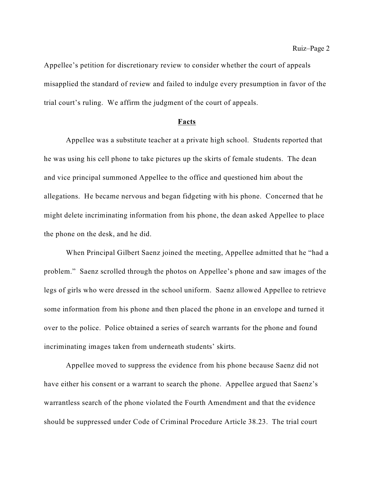Appellee's petition for discretionary review to consider whether the court of appeals misapplied the standard of review and failed to indulge every presumption in favor of the trial court's ruling. We affirm the judgment of the court of appeals.

#### **Facts**

Appellee was a substitute teacher at a private high school. Students reported that he was using his cell phone to take pictures up the skirts of female students. The dean and vice principal summoned Appellee to the office and questioned him about the allegations. He became nervous and began fidgeting with his phone. Concerned that he might delete incriminating information from his phone, the dean asked Appellee to place the phone on the desk, and he did.

When Principal Gilbert Saenz joined the meeting, Appellee admitted that he "had a problem." Saenz scrolled through the photos on Appellee's phone and saw images of the legs of girls who were dressed in the school uniform. Saenz allowed Appellee to retrieve some information from his phone and then placed the phone in an envelope and turned it over to the police. Police obtained a series of search warrants for the phone and found incriminating images taken from underneath students' skirts.

Appellee moved to suppress the evidence from his phone because Saenz did not have either his consent or a warrant to search the phone. Appellee argued that Saenz's warrantless search of the phone violated the Fourth Amendment and that the evidence should be suppressed under Code of Criminal Procedure Article 38.23. The trial court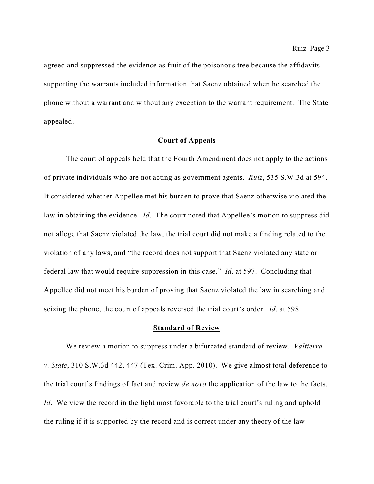agreed and suppressed the evidence as fruit of the poisonous tree because the affidavits supporting the warrants included information that Saenz obtained when he searched the phone without a warrant and without any exception to the warrant requirement. The State appealed.

#### **Court of Appeals**

The court of appeals held that the Fourth Amendment does not apply to the actions of private individuals who are not acting as government agents. *Ruiz*, 535 S.W.3d at 594. It considered whether Appellee met his burden to prove that Saenz otherwise violated the law in obtaining the evidence. *Id*. The court noted that Appellee's motion to suppress did not allege that Saenz violated the law, the trial court did not make a finding related to the violation of any laws, and "the record does not support that Saenz violated any state or federal law that would require suppression in this case." *Id*. at 597. Concluding that Appellee did not meet his burden of proving that Saenz violated the law in searching and seizing the phone, the court of appeals reversed the trial court's order. *Id*. at 598.

#### **Standard of Review**

We review a motion to suppress under a bifurcated standard of review. *Valtierra v. State*, 310 S.W.3d 442, 447 (Tex. Crim. App. 2010). We give almost total deference to the trial court's findings of fact and review *de novo* the application of the law to the facts. *Id.* We view the record in the light most favorable to the trial court's ruling and uphold the ruling if it is supported by the record and is correct under any theory of the law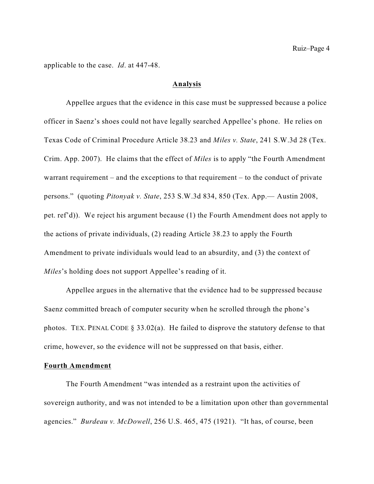applicable to the case. *Id*. at 447-48.

#### **Analysis**

Appellee argues that the evidence in this case must be suppressed because a police officer in Saenz's shoes could not have legally searched Appellee's phone. He relies on Texas Code of Criminal Procedure Article 38.23 and *Miles v. State*, 241 S.W.3d 28 (Tex. Crim. App. 2007). He claims that the effect of *Miles* is to apply "the Fourth Amendment warrant requirement – and the exceptions to that requirement – to the conduct of private persons." (quoting *Pitonyak v. State*, 253 S.W.3d 834, 850 (Tex. App.— Austin 2008, pet. ref'd)). We reject his argument because (1) the Fourth Amendment does not apply to the actions of private individuals, (2) reading Article 38.23 to apply the Fourth Amendment to private individuals would lead to an absurdity, and (3) the context of *Miles*'s holding does not support Appellee's reading of it.

Appellee argues in the alternative that the evidence had to be suppressed because Saenz committed breach of computer security when he scrolled through the phone's photos. TEX. PENAL CODE § 33.02(a). He failed to disprove the statutory defense to that crime, however, so the evidence will not be suppressed on that basis, either.

#### **Fourth Amendment**

The Fourth Amendment "was intended as a restraint upon the activities of sovereign authority, and was not intended to be a limitation upon other than governmental agencies." *Burdeau v. McDowell*, 256 U.S. 465, 475 (1921). "It has, of course, been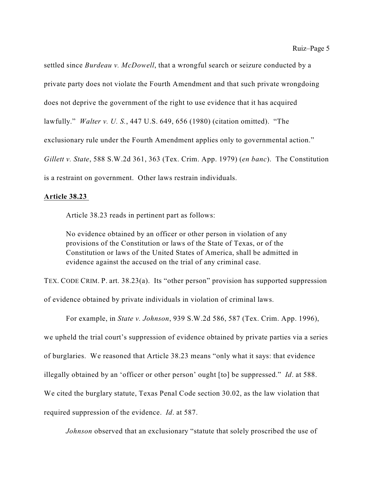settled since *Burdeau v. McDowell*, that a wrongful search or seizure conducted by a private party does not violate the Fourth Amendment and that such private wrongdoing does not deprive the government of the right to use evidence that it has acquired lawfully." *Walter v. U. S.*, 447 U.S. 649, 656 (1980) (citation omitted). "The exclusionary rule under the Fourth Amendment applies only to governmental action." *Gillett v. State*, 588 S.W.2d 361, 363 (Tex. Crim. App. 1979) (*en banc*). The Constitution is a restraint on government. Other laws restrain individuals.

#### **Article 38.23**

Article 38.23 reads in pertinent part as follows:

No evidence obtained by an officer or other person in violation of any provisions of the Constitution or laws of the State of Texas, or of the Constitution or laws of the United States of America, shall be admitted in evidence against the accused on the trial of any criminal case.

TEX. CODE CRIM. P. art. 38.23(a). Its "other person" provision has supported suppression of evidence obtained by private individuals in violation of criminal laws.

For example, in *State v. Johnson*, 939 S.W.2d 586, 587 (Tex. Crim. App. 1996), we upheld the trial court's suppression of evidence obtained by private parties via a series of burglaries. We reasoned that Article 38.23 means "only what it says: that evidence illegally obtained by an 'officer or other person' ought [to] be suppressed." *Id*. at 588. We cited the burglary statute, Texas Penal Code section 30.02, as the law violation that required suppression of the evidence. *Id*. at 587.

*Johnson* observed that an exclusionary "statute that solely proscribed the use of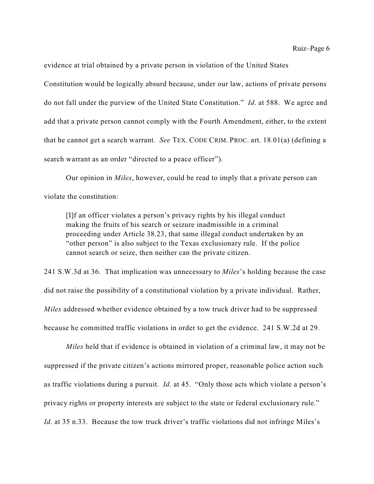evidence at trial obtained by a private person in violation of the United States

Constitution would be logically absurd because, under our law, actions of private persons do not fall under the purview of the United State Constitution." *Id*. at 588. We agree and add that a private person cannot comply with the Fourth Amendment, either, to the extent that he cannot get a search warrant. *See* TEX. CODE CRIM. PROC. art. 18.01(a) (defining a search warrant as an order "directed to a peace officer").

Our opinion in *Miles*, however, could be read to imply that a private person can violate the constitution:

[I]f an officer violates a person's privacy rights by his illegal conduct making the fruits of his search or seizure inadmissible in a criminal proceeding under Article 38.23, that same illegal conduct undertaken by an "other person" is also subject to the Texas exclusionary rule. If the police cannot search or seize, then neither can the private citizen.

241 S.W.3d at 36. That implication was unnecessary to *Miles*'s holding because the case did not raise the possibility of a constitutional violation by a private individual. Rather, *Miles* addressed whether evidence obtained by a tow truck driver had to be suppressed because he committed traffic violations in order to get the evidence. 241 S.W.2d at 29.

*Miles* held that if evidence is obtained in violation of a criminal law, it may not be suppressed if the private citizen's actions mirrored proper, reasonable police action such as traffic violations during a pursuit. *Id*. at 45. "Only those acts which violate a person's privacy rights or property interests are subject to the state or federal exclusionary rule." *Id*. at 35 n.33. Because the tow truck driver's traffic violations did not infringe Miles's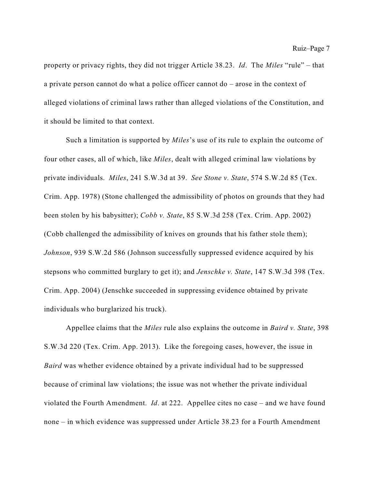property or privacy rights, they did not trigger Article 38.23. *Id*. The *Miles* "rule" – that a private person cannot do what a police officer cannot do – arose in the context of alleged violations of criminal laws rather than alleged violations of the Constitution, and it should be limited to that context.

Such a limitation is supported by *Miles*'s use of its rule to explain the outcome of four other cases, all of which, like *Miles*, dealt with alleged criminal law violations by private individuals. *Miles*, 241 S.W.3d at 39. *See Stone v. State*, 574 S.W.2d 85 (Tex. Crim. App. 1978) (Stone challenged the admissibility of photos on grounds that they had been stolen by his babysitter); *Cobb v. State*, 85 S.W.3d 258 (Tex. Crim. App. 2002) (Cobb challenged the admissibility of knives on grounds that his father stole them); *Johnson*, 939 S.W.2d 586 (Johnson successfully suppressed evidence acquired by his stepsons who committed burglary to get it); and *Jenschke v. State*, 147 S.W.3d 398 (Tex. Crim. App. 2004) (Jenschke succeeded in suppressing evidence obtained by private individuals who burglarized his truck).

Appellee claims that the *Miles* rule also explains the outcome in *Baird v. State*, 398 S.W.3d 220 (Tex. Crim. App. 2013). Like the foregoing cases, however, the issue in *Baird* was whether evidence obtained by a private individual had to be suppressed because of criminal law violations; the issue was not whether the private individual violated the Fourth Amendment. *Id*. at 222. Appellee cites no case – and we have found none – in which evidence was suppressed under Article 38.23 for a Fourth Amendment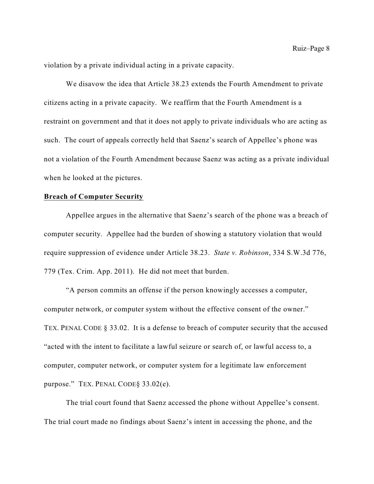violation by a private individual acting in a private capacity.

We disavow the idea that Article 38.23 extends the Fourth Amendment to private citizens acting in a private capacity. We reaffirm that the Fourth Amendment is a restraint on government and that it does not apply to private individuals who are acting as such. The court of appeals correctly held that Saenz's search of Appellee's phone was not a violation of the Fourth Amendment because Saenz was acting as a private individual when he looked at the pictures.

#### **Breach of Computer Security**

Appellee argues in the alternative that Saenz's search of the phone was a breach of computer security. Appellee had the burden of showing a statutory violation that would require suppression of evidence under Article 38.23. *State v. Robinson*, 334 S.W.3d 776, 779 (Tex. Crim. App. 2011). He did not meet that burden.

"A person commits an offense if the person knowingly accesses a computer, computer network, or computer system without the effective consent of the owner." TEX. PENAL CODE § 33.02. It is a defense to breach of computer security that the accused "acted with the intent to facilitate a lawful seizure or search of, or lawful access to, a computer, computer network, or computer system for a legitimate law enforcement purpose." TEX. PENAL CODE§ 33.02(e).

The trial court found that Saenz accessed the phone without Appellee's consent. The trial court made no findings about Saenz's intent in accessing the phone, and the